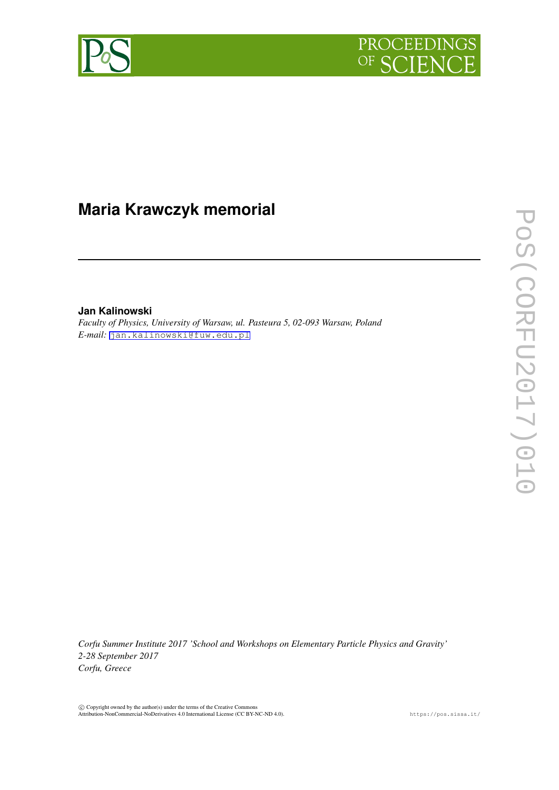



## **Maria Krawczyk memorial**

## **Jan Kalinowski**

*Faculty of Physics, University of Warsaw, ul. Pasteura 5, 02-093 Warsaw, Poland E-mail:* [jan.kalinowski@fuw.edu.pl](mailto:jan.kalinowski@fuw.edu.pl)

 $\copyright$  Copyright owned by the author(s) under the terms of the Creative Commons<br>Attribution-NonCommercial-NoDerivatives 4.0 International License (CC BY-NC-ND 4.0). https://pos.sissa.it/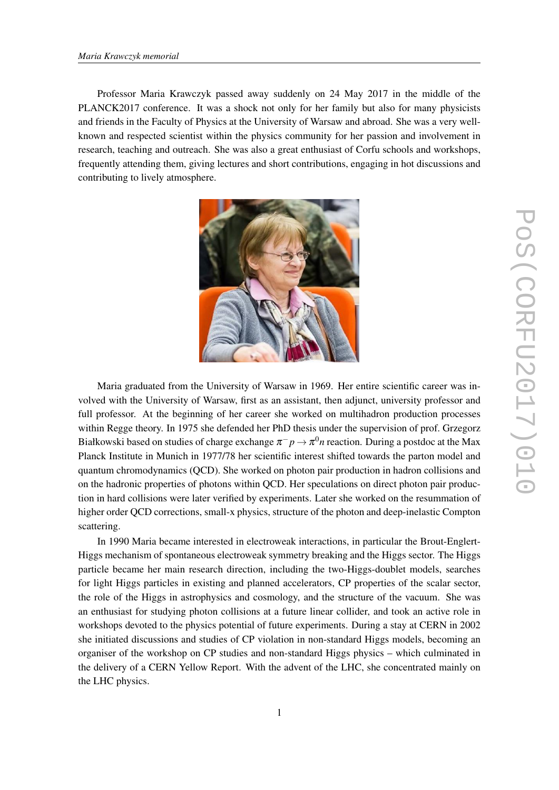Professor Maria Krawczyk passed away suddenly on 24 May 2017 in the middle of the PLANCK2017 conference. It was a shock not only for her family but also for many physicists and friends in the Faculty of Physics at the University of Warsaw and abroad. She was a very wellknown and respected scientist within the physics community for her passion and involvement in research, teaching and outreach. She was also a great enthusiast of Corfu schools and workshops, frequently attending them, giving lectures and short contributions, engaging in hot discussions and contributing to lively atmosphere.



Maria graduated from the University of Warsaw in 1969. Her entire scientific career was involved with the University of Warsaw, first as an assistant, then adjunct, university professor and full professor. At the beginning of her career she worked on multihadron production processes within Regge theory. In 1975 she defended her PhD thesis under the supervision of prof. Grzegorz Białkowski based on studies of charge exchange  $\pi^- p \to \pi^0 n$  reaction. During a postdoc at the Max Planck Institute in Munich in 1977/78 her scientific interest shifted towards the parton model and quantum chromodynamics (QCD). She worked on photon pair production in hadron collisions and on the hadronic properties of photons within QCD. Her speculations on direct photon pair production in hard collisions were later verified by experiments. Later she worked on the resummation of higher order QCD corrections, small-x physics, structure of the photon and deep-inelastic Compton scattering.

In 1990 Maria became interested in electroweak interactions, in particular the Brout-Englert-Higgs mechanism of spontaneous electroweak symmetry breaking and the Higgs sector. The Higgs particle became her main research direction, including the two-Higgs-doublet models, searches for light Higgs particles in existing and planned accelerators, CP properties of the scalar sector, the role of the Higgs in astrophysics and cosmology, and the structure of the vacuum. She was an enthusiast for studying photon collisions at a future linear collider, and took an active role in workshops devoted to the physics potential of future experiments. During a stay at CERN in 2002 she initiated discussions and studies of CP violation in non-standard Higgs models, becoming an organiser of the workshop on CP studies and non-standard Higgs physics – which culminated in the delivery of a CERN Yellow Report. With the advent of the LHC, she concentrated mainly on the LHC physics.